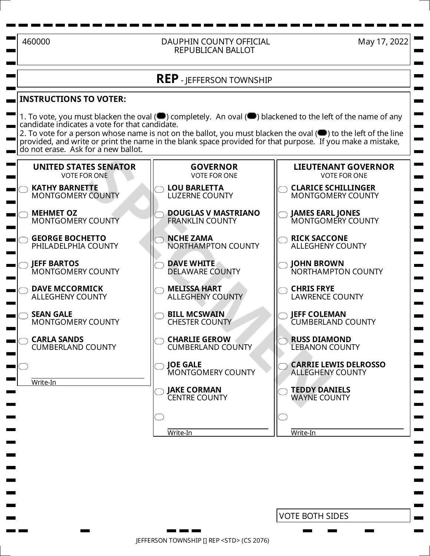## 460000 DAUPHIN COUNTY OFFICIAL REPUBLICAN BALLOT

## **REP** - JEFFERSON TOWNSHIP

## **INSTRUCTIONS TO VOTER:**

1. To vote, you must blacken the oval ( $\bullet$ ) completely. An oval ( $\bullet$ ) blackened to the left of the name of any candidate indicates a vote for that candidate.

2. To vote for a person whose name is not on the ballot, you must blacken the oval  $(\blacksquare)$  to the left of the line provided, and write or print the name in the blank space provided for that purpose. If you make a mistake, do not erase. Ask for a new ballot.